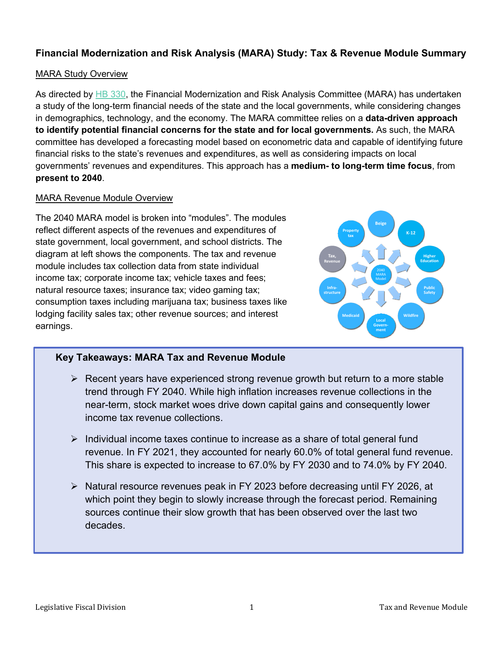# **Financial Modernization and Risk Analysis (MARA) Study: Tax & Revenue Module Summary**

# MARA Study Overview

As directed by [HB 330,](https://leg.mt.gov/bills/2021/billpdf/HB0330.pdf) the Financial Modernization and Risk Analysis Committee (MARA) has undertaken a study of the long-term financial needs of the state and the local governments, while considering changes in demographics, technology, and the economy. The MARA committee relies on a **data-driven approach to identify potential financial concerns for the state and for local governments.** As such, the MARA committee has developed a forecasting model based on econometric data and capable of identifying future financial risks to the state's revenues and expenditures, as well as considering impacts on local governments' revenues and expenditures. This approach has a **medium- to long-term time focus**, from **present to 2040**.

## MARA Revenue Module Overview

The 2040 MARA model is broken into "modules". The modules reflect different aspects of the revenues and expenditures of state government, local government, and school districts. The diagram at left shows the components. The tax and revenue module includes tax collection data from state individual income tax; corporate income tax; vehicle taxes and fees; natural resource taxes; insurance tax; video gaming tax; consumption taxes including marijuana tax; business taxes like lodging facility sales tax; other revenue sources; and interest earnings.



# **Key Takeaways: MARA Tax and Revenue Module**

- $\triangleright$  Recent years have experienced strong revenue growth but return to a more stable trend through FY 2040. While high inflation increases revenue collections in the near-term, stock market woes drive down capital gains and consequently lower income tax revenue collections.
- $\triangleright$  Individual income taxes continue to increase as a share of total general fund revenue. In FY 2021, they accounted for nearly 60.0% of total general fund revenue. This share is expected to increase to 67.0% by FY 2030 and to 74.0% by FY 2040.
- ▶ Natural resource revenues peak in FY 2023 before decreasing until FY 2026, at which point they begin to slowly increase through the forecast period. Remaining sources continue their slow growth that has been observed over the last two decades.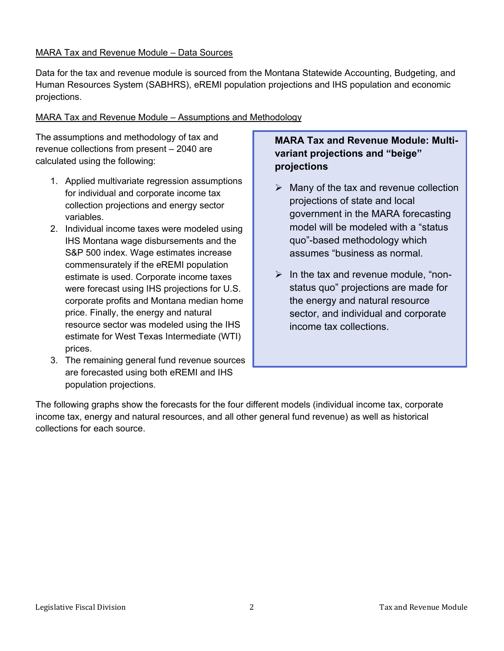## MARA Tax and Revenue Module – Data Sources

Data for the tax and revenue module is sourced from the Montana Statewide Accounting, Budgeting, and Human Resources System (SABHRS), eREMI population projections and IHS population and economic projections.

# MARA Tax and Revenue Module – Assumptions and Methodology

The assumptions and methodology of tax and revenue collections from present – 2040 are calculated using the following:

- 1. Applied multivariate regression assumptions for individual and corporate income tax collection projections and energy sector variables.
- 2. Individual income taxes were modeled using IHS Montana wage disbursements and the S&P 500 index. Wage estimates increase commensurately if the eREMI population estimate is used. Corporate income taxes were forecast using IHS projections for U.S. corporate profits and Montana median home price. Finally, the energy and natural resource sector was modeled using the IHS estimate for West Texas Intermediate (WTI) prices.
- 3. The remaining general fund revenue sources are forecasted using both eREMI and IHS population projections.

# **MARA Tax and Revenue Module: Multivariant projections and "beige" projections**

- $\triangleright$  Many of the tax and revenue collection projections of state and local government in the MARA forecasting model will be modeled with a "status quo"-based methodology which assumes "business as normal.
- $\triangleright$  In the tax and revenue module, "nonstatus quo" projections are made for the energy and natural resource sector, and individual and corporate income tax collections.

The following graphs show the forecasts for the four different models (individual income tax, corporate income tax, energy and natural resources, and all other general fund revenue) as well as historical collections for each source.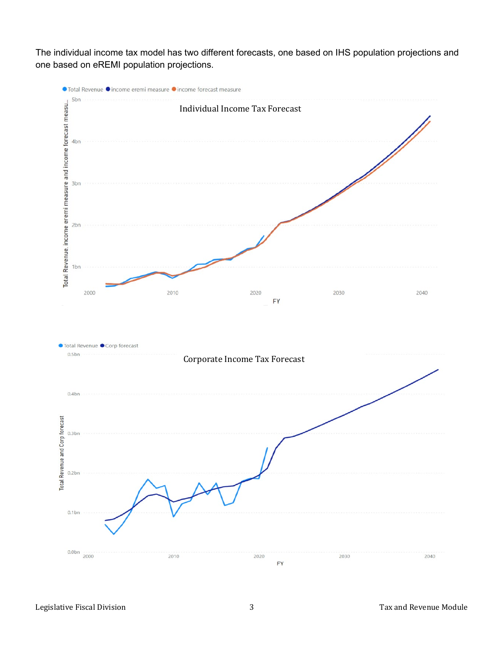The individual income tax model has two different forecasts, one based on IHS population projections and one based on eREMI population projections.

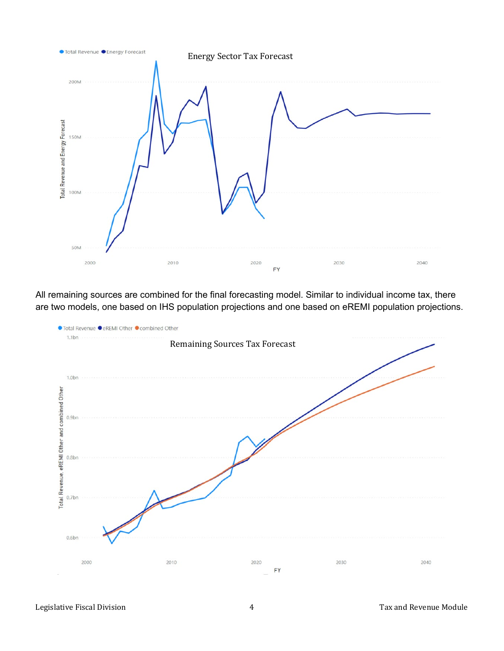

All remaining sources are combined for the final forecasting model. Similar to individual income tax, there are two models, one based on IHS population projections and one based on eREMI population projections.

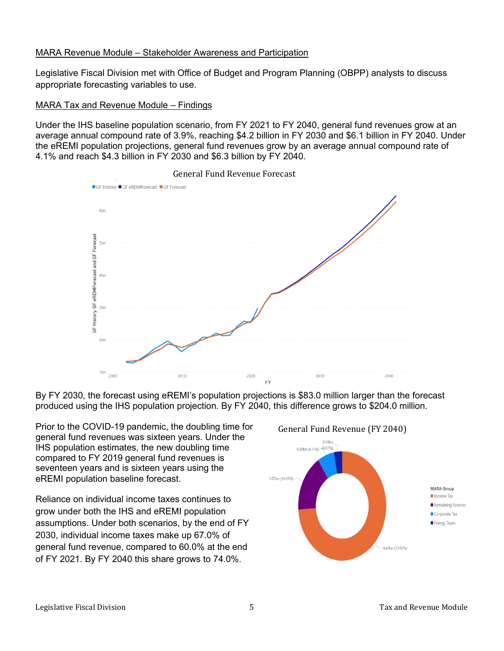## MARA Revenue Module – Stakeholder Awareness and Participation

Legislative Fiscal Division met with Office of Budget and Program Planning (OBPP) analysts to discuss appropriate forecasting variables to use.

#### MARA Tax and Revenue Module – Findings

Under the IHS baseline population scenario, from FY 2021 to FY 2040, general fund revenues grow at an average annual compound rate of 3.9%, reaching \$4.2 billion in FY 2030 and \$6.1 billion in FY 2040. Under the eREMI population projections, general fund revenues grow by an average annual compound rate of 4.1% and reach \$4.3 billion in FY 2030 and \$6.3 billion by FY 2040.



#### General Fund Revenue Forecast

By FY 2030, the forecast using eREMI's population projections is \$83.0 million larger than the forecast produced using the IHS population projection. By FY 2040, this difference grows to \$204.0 million.

Prior to the COVID-19 pandemic, the doubling time for general fund revenues was sixteen years. Under the IHS population estimates, the new doubling time compared to FY 2019 general fund revenues is seventeen years and is sixteen years using the eREMI population baseline forecast.

Reliance on individual income taxes continues to grow under both the IHS and eREMI population assumptions. Under both scenarios, by the end of FY 2030, individual income taxes make up 67.0% of general fund revenue, compared to 60.0% at the end of FY 2021. By FY 2040 this share grows to 74.0%.